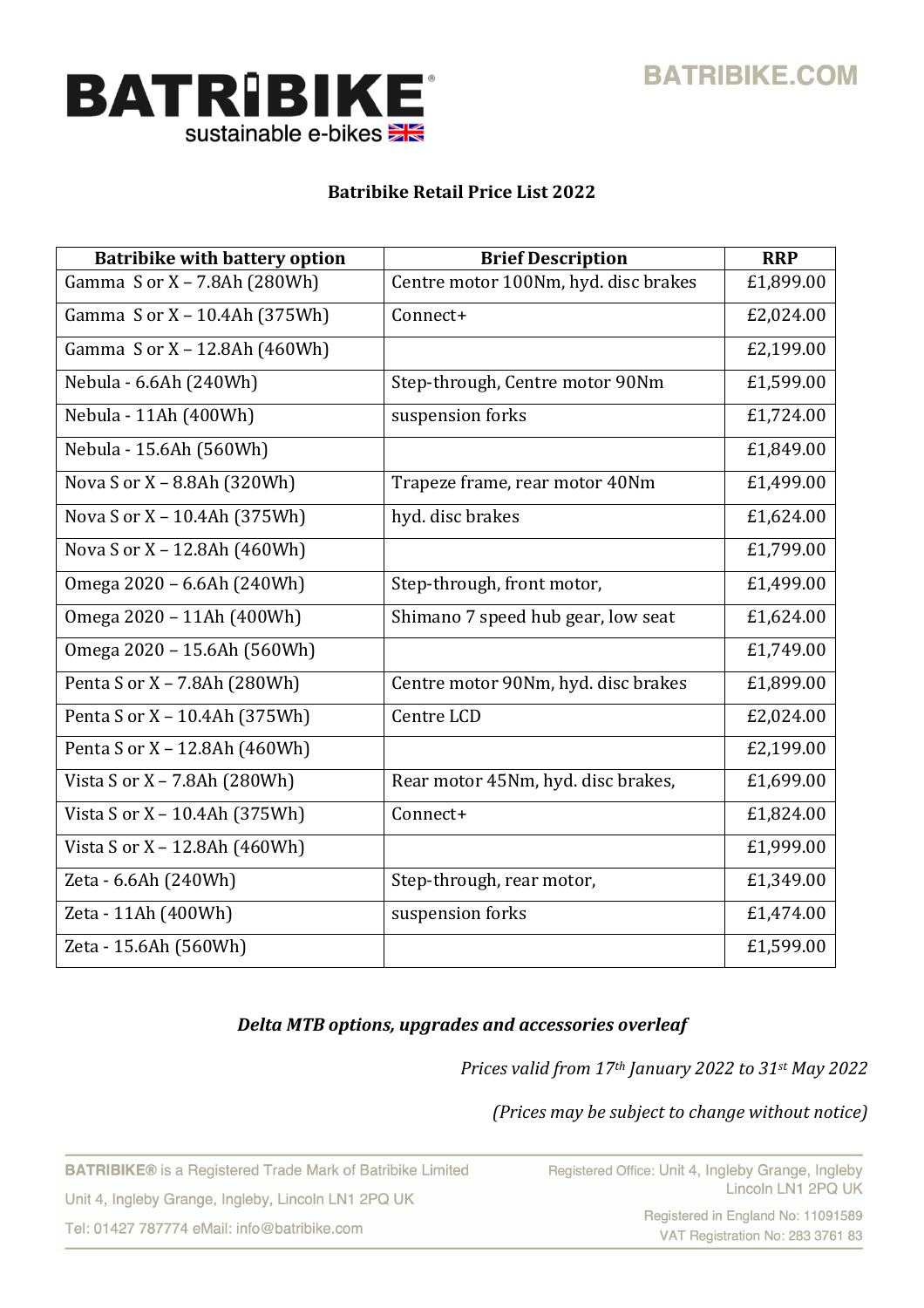



# **Batribike Retail Price List 2022**

| <b>Batribike with battery option</b> | <b>Brief Description</b>             | <b>RRP</b> |
|--------------------------------------|--------------------------------------|------------|
| Gamma S or X - 7.8Ah (280Wh)         | Centre motor 100Nm, hyd. disc brakes | £1,899.00  |
| Gamma S or X - 10.4Ah (375Wh)        | Connect+                             | £2,024.00  |
| Gamma S or X - 12.8Ah (460Wh)        |                                      | £2,199.00  |
| Nebula - 6.6Ah (240Wh)               | Step-through, Centre motor 90Nm      | £1,599.00  |
| Nebula - 11Ah (400Wh)                | suspension forks                     | £1,724.00  |
| Nebula - 15.6Ah (560Wh)              |                                      | £1,849.00  |
| Nova S or X - 8.8Ah (320Wh)          | Trapeze frame, rear motor 40Nm       | £1,499.00  |
| Nova S or X - 10.4Ah (375Wh)         | hyd. disc brakes                     | £1,624.00  |
| Nova S or X - 12.8Ah (460Wh)         |                                      | £1,799.00  |
| Omega 2020 - 6.6Ah (240Wh)           | Step-through, front motor,           | £1,499.00  |
| Omega 2020 - 11Ah (400Wh)            | Shimano 7 speed hub gear, low seat   | £1,624.00  |
| Omega 2020 - 15.6Ah (560Wh)          |                                      | £1,749.00  |
| Penta S or X - 7.8Ah (280Wh)         | Centre motor 90Nm, hyd. disc brakes  | £1,899.00  |
| Penta S or X - 10.4Ah (375Wh)        | Centre LCD                           | £2,024.00  |
| Penta S or X - 12.8Ah (460Wh)        |                                      | £2,199.00  |
| Vista S or X - 7.8Ah (280Wh)         | Rear motor 45Nm, hyd. disc brakes,   | £1,699.00  |
| Vista S or X - 10.4Ah (375Wh)        | Connect+                             | £1,824.00  |
| Vista S or X - 12.8Ah (460Wh)        |                                      | £1,999.00  |
| Zeta - 6.6Ah (240Wh)                 | Step-through, rear motor,            | £1,349.00  |
| Zeta - 11Ah (400Wh)                  | suspension forks                     | £1,474.00  |
| Zeta - 15.6Ah (560Wh)                |                                      | £1,599.00  |

## *Delta MTB options, upgrades and accessories overleaf*

*Prices valid from 17th January 2022 to 31st May 2022*

*(Prices may be subject to change without notice)* 

**BATRIBIKE®** is a Registered Trade Mark of Batribike Limited Unit 4, Ingleby Grange, Ingleby, Lincoln LN1 2PQ UK Tel: 01427 787774 eMail: info@batribike.com

Registered in England No: 11091589 VAT Registration No: 283 3761 83